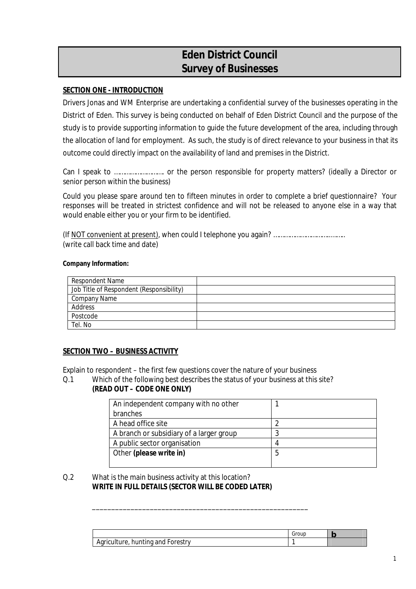# **Eden District Council Survey of Businesses**

# **SECTION ONE - INTRODUCTION**

Drivers Jonas and WM Enterprise are undertaking a confidential survey of the businesses operating in the District of Eden. This survey is being conducted on behalf of Eden District Council and the purpose of the study is to provide supporting information to guide the future development of the area, including through the allocation of land for employment. As such, the study is of direct relevance to your business in that its outcome could directly impact on the availability of land and premises in the District.

Can I speak to ………………………. or the person responsible for property matters? (ideally a Director or senior person within the business)

Could you please spare around ten to fifteen minutes in order to complete a brief questionnaire? Your responses will be treated in strictest confidence and will not be released to anyone else in a way that would enable either you or your firm to be identified.

(If NOT convenient at present), when could I telephone you again? …………………………..…….. (write call back time and date)

**Company Information:** 

| <b>Respondent Name</b>                   |  |
|------------------------------------------|--|
| Job Title of Respondent (Responsibility) |  |
| <b>Company Name</b>                      |  |
| Address                                  |  |
| Postcode                                 |  |
| Tel. No                                  |  |

### **SECTION TWO – BUSINESS ACTIVITY**

Explain to respondent – the first few questions cover the nature of your business

Q.1 Which of the following best describes the status of your business at this site? **(READ OUT – CODE ONE ONLY)** 

\_\_\_\_\_\_\_\_\_\_\_\_\_\_\_\_\_\_\_\_\_\_\_\_\_\_\_\_\_\_\_\_\_\_\_\_\_\_\_\_\_\_\_\_\_\_\_\_\_\_\_\_\_\_\_\_

| An independent company with no other     |  |
|------------------------------------------|--|
| branches                                 |  |
| A head office site                       |  |
| A branch or subsidiary of a larger group |  |
| A public sector organisation             |  |
| Other (please write in)                  |  |
|                                          |  |

Q.2 What is the main business activity at this location? **WRITE IN FULL DETAILS (SECTOR WILL BE CODED LATER)** 

|                                   | Group |  |
|-----------------------------------|-------|--|
| Agriculture, hunting and Forestry |       |  |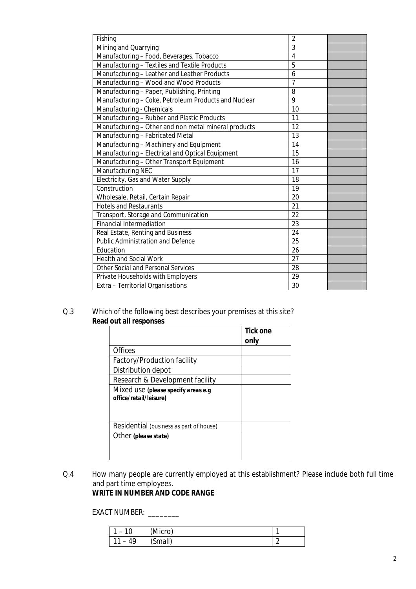| Fishing                                              | $\overline{2}$  |
|------------------------------------------------------|-----------------|
| Mining and Quarrying                                 | 3               |
| Manufacturing - Food, Beverages, Tobacco             | $\overline{4}$  |
| Manufacturing - Textiles and Textile Products        | 5               |
| Manufacturing - Leather and Leather Products         | 6               |
| Manufacturing - Wood and Wood Products               | $\overline{7}$  |
| Manufacturing - Paper, Publishing, Printing          | 8               |
| Manufacturing - Coke, Petroleum Products and Nuclear | 9               |
| Manufacturing - Chemicals                            | 10              |
| Manufacturing - Rubber and Plastic Products          | 11              |
| Manufacturing - Other and non metal mineral products | 12              |
| Manufacturing - Fabricated Metal                     | $\overline{13}$ |
| Manufacturing - Machinery and Equipment              | 14              |
| Manufacturing - Electrical and Optical Equipment     | 15              |
| Manufacturing - Other Transport Equipment            | 16              |
| <b>Manufacturing NEC</b>                             | 17              |
| Electricity, Gas and Water Supply                    | 18              |
| Construction                                         | 19              |
| Wholesale, Retail, Certain Repair                    | 20              |
| <b>Hotels and Restaurants</b>                        | 21              |
| Transport, Storage and Communication                 | 22              |
| <b>Financial Intermediation</b>                      | 23              |
| Real Estate, Renting and Business                    | 24              |
| <b>Public Administration and Defence</b>             | 25              |
| Education                                            | 26              |
| <b>Health and Social Work</b>                        | 27              |
| <b>Other Social and Personal Services</b>            | 28              |
| Private Households with Employers                    | 29              |
| Extra - Territorial Organisations                    | 30              |

# Q.3 Which of the following best describes your premises at this site? **Read out all responses**

|                                                               | Tick one<br>only |
|---------------------------------------------------------------|------------------|
| <b>Offices</b>                                                |                  |
| <b>Factory/Production facility</b>                            |                  |
| Distribution depot                                            |                  |
| Research & Development facility                               |                  |
| Mixed use (please specify areas e.g<br>office/retail/leisure) |                  |
| Residential (business as part of house)                       |                  |
| Other (please state)                                          |                  |

Q.4 How many people are currently employed at this establishment? Please include both full time and part time employees. **WRITE IN NUMBER AND CODE RANGE** 

# EXACT NUMBER: \_\_\_\_\_\_\_\_

| 10<br>$\overline{\phantom{0}}$ | (Micro) |   |
|--------------------------------|---------|---|
| 10                             | (Small) | ╭ |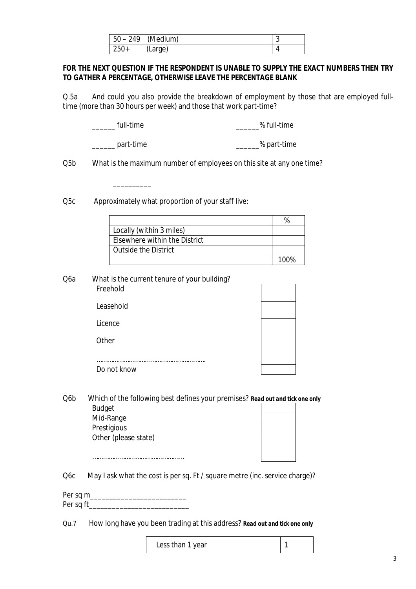|        | $50 - 249$ (Medium) | {<br>s. |
|--------|---------------------|---------|
| $250+$ | (Large)             |         |

 **FOR THE NEXT QUESTION IF THE RESPONDENT IS UNABLE TO SUPPLY THE EXACT NUMBERS THEN TRY TO GATHER A PERCENTAGE, OTHERWISE LEAVE THE PERCENTAGE BLANK** 

 Q.5a And could you also provide the breakdown of employment by those that are employed full-time (more than 30 hours per week) and those that work part-time?

full-time  $\%$  full-time

\_\_\_\_\_\_ part-time \_\_\_\_\_\_% part-time

 $\overline{\phantom{a}}$  ,  $\overline{\phantom{a}}$  ,  $\overline{\phantom{a}}$  ,  $\overline{\phantom{a}}$  ,  $\overline{\phantom{a}}$  ,  $\overline{\phantom{a}}$  ,  $\overline{\phantom{a}}$  ,  $\overline{\phantom{a}}$  ,  $\overline{\phantom{a}}$  ,  $\overline{\phantom{a}}$  ,  $\overline{\phantom{a}}$  ,  $\overline{\phantom{a}}$  ,  $\overline{\phantom{a}}$  ,  $\overline{\phantom{a}}$  ,  $\overline{\phantom{a}}$  ,  $\overline{\phantom{a}}$ 

 $Q5b$ What is the maximum number of employees on this site at any one time?

Q5c Approximately what proportion of your staff live:

| Locally (within 3 miles)      |      |
|-------------------------------|------|
| Elsewhere within the District |      |
| <b>Outside the District</b>   |      |
|                               | 100% |

Q6a What is the current tenure of your building? Freehold

| TICCIIVIU   |  |
|-------------|--|
| Leasehold   |  |
| Licence     |  |
| Other       |  |
|             |  |
| Do not know |  |

**Budget** Q6b Which of the following best defines your premises? *Read out and tick one only* 

> Prestigious Mid-Range Other (please state)

……………………………………………

Q6c May I ask what the cost is per sq. Ft / square metre (inc. service charge)?

 Per sq m\_\_\_\_\_\_\_\_\_\_\_\_\_\_\_\_\_\_\_\_\_\_\_\_\_ Per sq ft\_\_\_\_\_\_\_\_\_\_\_\_\_\_\_\_\_\_\_\_\_\_\_\_\_\_\_\_\_\_\_\_\_\_\_

 $Qu.7$ How long have you been trading at this address? *Read out and tick one only* 

| Less than 1 year |  |
|------------------|--|
|------------------|--|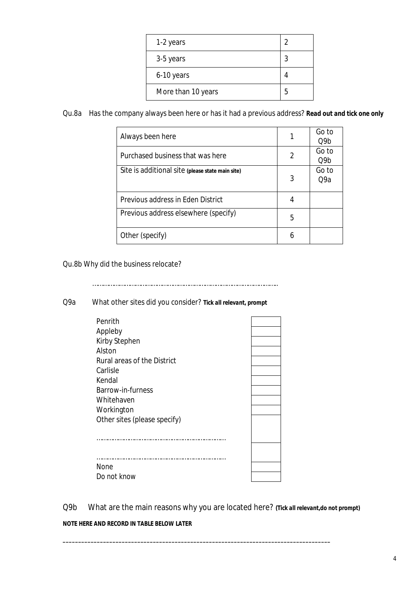| 1-2 years          | $\mathcal{P}$ |
|--------------------|---------------|
| 3-5 years          | 3             |
| 6-10 years         |               |
| More than 10 years | 5             |

Qu.8a Has the company always been here or has it had a previous address? *Read out and tick one only* 

| Always been here                                 |   | Go to<br>O9b |
|--------------------------------------------------|---|--------------|
| Purchased business that was here                 | 2 | Go to<br>Q9b |
| Site is additional site (please state main site) | 3 | Go to<br>O9a |
| <b>Previous address in Eden District</b>         | 4 |              |
| Previous address elsewhere (specify)             | 5 |              |
| Other (specify)                                  | 6 |              |

Qu.8b Why did the business relocate?

…………………………………………………………………………………………..

Q9a What other sites did you consider? *Tick all relevant, prompt* 

| Penrith                            |  |
|------------------------------------|--|
| Appleby                            |  |
| <b>Kirby Stephen</b>               |  |
| Alston                             |  |
| <b>Rural areas of the District</b> |  |
| Carlisle                           |  |
| Kendal                             |  |
| Barrow-in-furness                  |  |
| Whitehaven                         |  |
| Workington                         |  |
| Other sites (please specify)       |  |
|                                    |  |
|                                    |  |
|                                    |  |
|                                    |  |
| None                               |  |
| Do not know                        |  |
|                                    |  |

Q9b What are the main reasons why you are located here? *(Tick all relevant,do not prompt)* 

*\_\_\_\_\_\_\_\_\_\_\_\_\_\_\_\_\_\_\_\_\_\_\_\_\_\_\_\_\_\_\_\_\_\_\_\_\_\_\_\_\_\_\_\_\_\_\_\_\_\_\_\_\_\_\_\_\_\_\_\_\_\_\_\_\_\_\_\_\_\_\_\_\_\_\_\_\_\_\_\_\_\_\_\_\_\_* 

 *NOTE HERE AND RECORD IN TABLE BELOW LATER*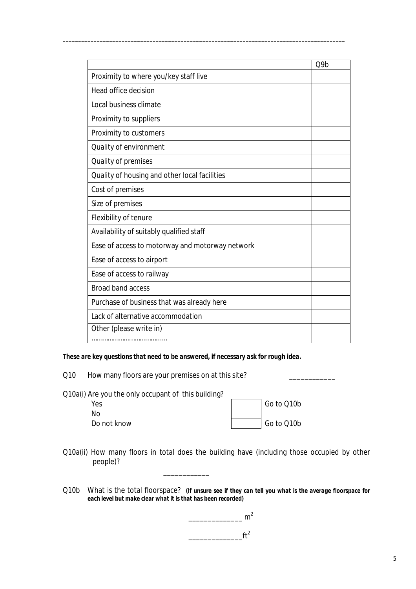|                                                 | Q9b |
|-------------------------------------------------|-----|
| Proximity to where you/key staff live           |     |
| <b>Head office decision</b>                     |     |
| Local business climate                          |     |
| <b>Proximity to suppliers</b>                   |     |
| Proximity to customers                          |     |
| Quality of environment                          |     |
| Quality of premises                             |     |
| Quality of housing and other local facilities   |     |
| Cost of premises                                |     |
| Size of premises                                |     |
| <b>Flexibility of tenure</b>                    |     |
| Availability of suitably qualified staff        |     |
| Ease of access to motorway and motorway network |     |
| Ease of access to airport                       |     |
| Ease of access to railway                       |     |
| <b>Broad band access</b>                        |     |
| Purchase of business that was already here      |     |
| Lack of alternative accommodation               |     |
| Other (please write in)                         |     |
|                                                 |     |

*\_\_\_\_\_\_\_\_\_\_\_\_\_\_\_\_\_\_\_\_\_\_\_\_\_\_\_\_\_\_\_\_\_\_\_\_\_\_\_\_\_\_\_\_\_\_\_\_\_\_\_\_\_\_\_\_\_\_\_\_\_\_\_\_\_\_\_\_\_\_\_\_\_\_\_\_\_\_\_\_\_\_\_\_\_\_\_\_\_\_\_* 

 *These are key questions that need to be answered, if necessary ask for rough idea.* 

Q10 How many floors are your premises on at this site? \_\_\_\_\_\_\_\_\_\_\_\_\_\_\_\_\_\_\_\_\_\_\_\_\_

| Q10a(i) Are you the only occupant of this building? |            |
|-----------------------------------------------------|------------|
| Yes                                                 | Go to Q10b |
| Nο                                                  |            |
| Do not know                                         | Go to Q10b |

\_\_\_\_\_\_\_\_\_\_\_\_

- Q10a(ii) How many floors in total does the building have (including those occupied by other people)? people)? Q10b What is the total floorspace? *(If unsure see if they can tell you what is the average floorspace for*
- *each level but make clear what it is that has been recorded)*

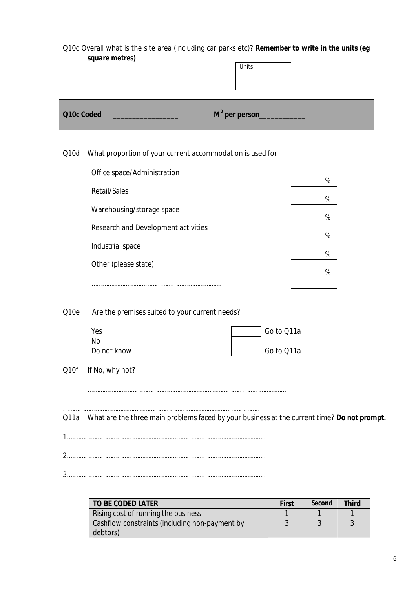Q10c Overall what is the site area (including car parks etc)? *Remember to write in the units (eg square metres)* 

| square metres)                                                    | Units                                                                                       |
|-------------------------------------------------------------------|---------------------------------------------------------------------------------------------|
| Q10c Coded                                                        | $M^2$ per person_                                                                           |
| What proportion of your current accommodation is used for<br>Q10d |                                                                                             |
| Office space/Administration                                       | %                                                                                           |
| <b>Retail/Sales</b>                                               | %                                                                                           |
| Warehousing/storage space                                         | %                                                                                           |
| Research and Development activities                               | $\%$                                                                                        |
| Industrial space                                                  | %                                                                                           |
| Other (please state)                                              | $\%$                                                                                        |
| Q10e<br>Are the premises suited to your current needs?            |                                                                                             |
| Yes                                                               | Go to Q11a                                                                                  |
| No<br>Do not know                                                 | Go to Q11a                                                                                  |
| Q10f If No, why not?                                              |                                                                                             |
|                                                                   |                                                                                             |
| Q11a                                                              | What are the three main problems faced by your business at the current time? Do not prompt. |

2.………………………………………………………………………………………………..

3.………………………………………………………………………………………………..

| TO BE CODED LATER                              | First | Second | <b>Third</b> |
|------------------------------------------------|-------|--------|--------------|
| Rising cost of running the business            |       |        |              |
| Cashflow constraints (including non-payment by |       |        |              |
| debtors)                                       |       |        |              |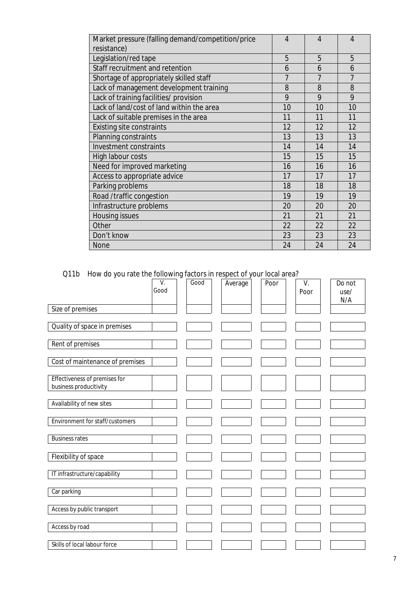| Market pressure (falling demand/competition/price<br>resistance) | $\overline{4}$ | 4  | 4  |
|------------------------------------------------------------------|----------------|----|----|
| Legislation/red tape                                             | 5              | 5  | 5  |
| Staff recruitment and retention                                  | 6              | 6  | 6  |
| Shortage of appropriately skilled staff                          | $\overline{7}$ | 7  | 7  |
| Lack of management development training                          | 8              | 8  | 8  |
| Lack of training facilities/ provision                           | 9              | 9  | 9  |
| Lack of land/cost of land within the area                        | 10             | 10 | 10 |
| Lack of suitable premises in the area                            | 11             | 11 | 11 |
| <b>Existing site constraints</b>                                 | 12             | 12 | 12 |
| <b>Planning constraints</b>                                      | 13             | 13 | 13 |
| <b>Investment constraints</b>                                    | 14             | 14 | 14 |
| High labour costs                                                | 15             | 15 | 15 |
| Need for improved marketing                                      | 16             | 16 | 16 |
| Access to appropriate advice                                     | 17             | 17 | 17 |
| Parking problems                                                 | 18             | 18 | 18 |
| Road /traffic congestion                                         | 19             | 19 | 19 |
| Infrastructure problems                                          | 20             | 20 | 20 |
| <b>Housing issues</b>                                            | 21             | 21 | 21 |
| Other                                                            | 22             | 22 | 22 |
| Don't know                                                       | 23             | 23 | 23 |
| <b>None</b>                                                      | 24             | 24 | 24 |

Q11b How do you rate the following factors in respect of your local area?

|                                        | V.<br>Good | Good | Average | Poor | V.<br>Poor | Do not<br>use/<br>N/A |
|----------------------------------------|------------|------|---------|------|------------|-----------------------|
| Size of premises                       |            |      |         |      |            |                       |
|                                        |            |      |         |      |            |                       |
| Quality of space in premises           |            |      |         |      |            |                       |
|                                        |            |      |         |      |            |                       |
| Rent of premises                       |            |      |         |      |            |                       |
|                                        |            |      |         |      |            |                       |
| Cost of maintenance of premises        |            |      |         |      |            |                       |
| <b>Effectiveness of premises for</b>   |            |      |         |      |            |                       |
| business producitivity                 |            |      |         |      |            |                       |
|                                        |            |      |         |      |            |                       |
| Availability of new sites              |            |      |         |      |            |                       |
|                                        |            |      |         |      |            |                       |
| <b>Environment for staff/customers</b> |            |      |         |      |            |                       |
|                                        |            |      |         |      |            |                       |
| <b>Business rates</b>                  |            |      |         |      |            |                       |
|                                        |            |      |         |      |            |                       |
| Flexibility of space                   |            |      |         |      |            |                       |
| IT infrastructure/capability           |            |      |         |      |            |                       |
|                                        |            |      |         |      |            |                       |
| Car parking                            |            |      |         |      |            |                       |
|                                        |            |      |         |      |            |                       |
| Access by public transport             |            |      |         |      |            |                       |
|                                        |            |      |         |      |            |                       |
| Access by road                         |            |      |         |      |            |                       |
|                                        |            |      |         |      |            |                       |
| Skills of local labour force           |            |      |         |      |            |                       |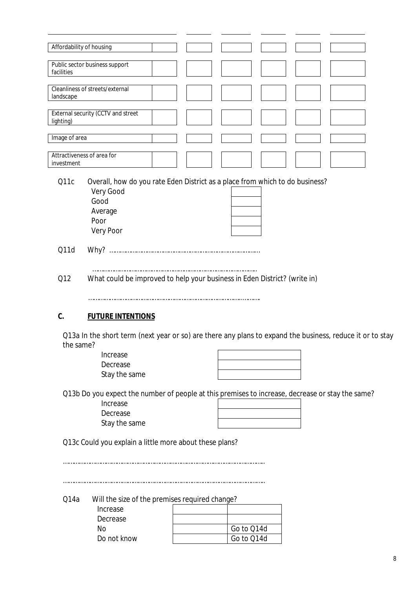|               | Affordability of housing                                                                                  |                          |  |  |
|---------------|-----------------------------------------------------------------------------------------------------------|--------------------------|--|--|
| facilities    | Public sector business support                                                                            |                          |  |  |
|               |                                                                                                           |                          |  |  |
| landscape     | Cleanliness of streets/external                                                                           |                          |  |  |
| lighting)     | External security (CCTV and street                                                                        |                          |  |  |
| Image of area |                                                                                                           |                          |  |  |
|               |                                                                                                           |                          |  |  |
| investment    | Attractiveness of area for                                                                                |                          |  |  |
| Q11c          | Overall, how do you rate Eden District as a place from which to do business?                              |                          |  |  |
|               | <b>Very Good</b>                                                                                          |                          |  |  |
|               | Good                                                                                                      |                          |  |  |
|               | Average                                                                                                   |                          |  |  |
|               | Poor                                                                                                      |                          |  |  |
|               | <b>Very Poor</b>                                                                                          |                          |  |  |
|               |                                                                                                           |                          |  |  |
| Q11d          |                                                                                                           |                          |  |  |
|               |                                                                                                           |                          |  |  |
| Q12           | What could be improved to help your business in Eden District? (write in)                                 |                          |  |  |
|               |                                                                                                           |                          |  |  |
| C.            | <b>FUTURE INTENTIONS</b>                                                                                  |                          |  |  |
|               | Q13a In the short term (next year or so) are there any plans to expand the business, reduce it or to stay |                          |  |  |
| the same?     |                                                                                                           |                          |  |  |
|               | Increase                                                                                                  |                          |  |  |
|               | Decrease                                                                                                  |                          |  |  |
|               | Stay the same                                                                                             |                          |  |  |
|               | Q13b Do you expect the number of people at this premises to increase, decrease or stay the same?          |                          |  |  |
|               | Increase                                                                                                  |                          |  |  |
|               | Decrease                                                                                                  |                          |  |  |
|               | Stay the same                                                                                             |                          |  |  |
|               | Q13c Could you explain a little more about these plans?                                                   |                          |  |  |
|               |                                                                                                           |                          |  |  |
|               |                                                                                                           |                          |  |  |
|               |                                                                                                           |                          |  |  |
|               |                                                                                                           |                          |  |  |
| Q14a          | Will the size of the premises required change?                                                            |                          |  |  |
|               | Increase                                                                                                  |                          |  |  |
|               | Decrease                                                                                                  |                          |  |  |
|               | <b>No</b><br>Do not know                                                                                  | Go to Q14d<br>Go to Q14d |  |  |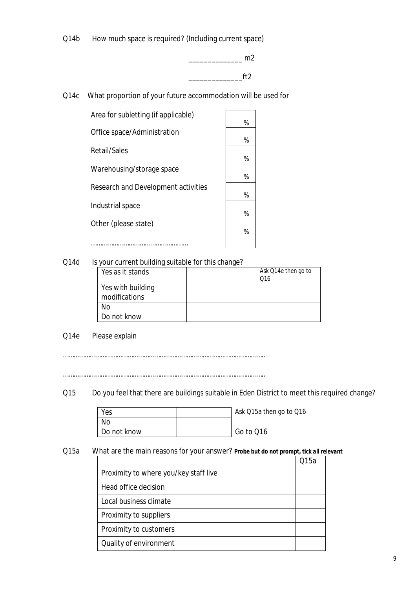$Q14b$ How much space is required? (Including current space)



Q14c What proportion of your future accommodation will be used for

| Area for subletting (if applicable)        | %      |
|--------------------------------------------|--------|
| Office space/Administration                |        |
| Retail/Sales                               | %      |
| Warehousing/storage space                  | %<br>% |
| <b>Research and Development activities</b> | %      |
| Industrial space                           |        |
| Other (please state)                       | %<br>% |
|                                            |        |

Q14d Is your current building suitable for this change?

| Yes as it stands  | Ask Q14e then go to<br>Q16 |
|-------------------|----------------------------|
| Yes with building |                            |
| modifications     |                            |
| No                |                            |
| Do not know       |                            |

Q14e Please explain

…………………………………………………………………………………………………..

…………………………………………………………………………………………………..

Q15 Do you feel that there are buildings suitable in Eden District to meet this required change?

| Yes         | Ask Q15a then go to Q16 |
|-------------|-------------------------|
| No          |                         |
| Do not know | Go to Q16               |

 $Q15a$ 

Q15a What are the main reasons for your answer? *Probe but do not prompt, tick all relevant* 

|                                       | O15a |
|---------------------------------------|------|
| Proximity to where you/key staff live |      |
| Head office decision                  |      |
| Local business climate                |      |
| Proximity to suppliers                |      |
| Proximity to customers                |      |
| Quality of environment                |      |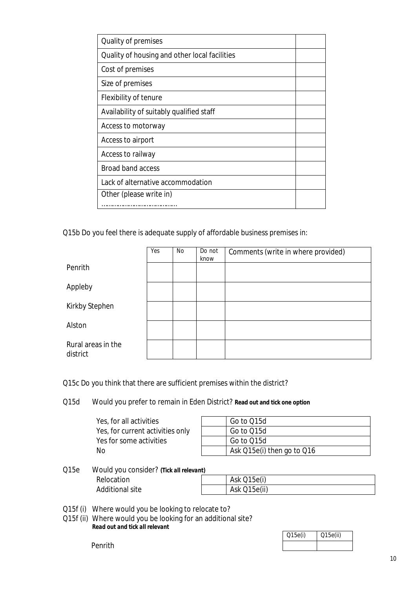| <b>Quality of premises</b>                    |  |
|-----------------------------------------------|--|
| Quality of housing and other local facilities |  |
| Cost of premises                              |  |
| Size of premises                              |  |
| <b>Flexibility of tenure</b>                  |  |
| Availability of suitably qualified staff      |  |
| Access to motorway                            |  |
| Access to airport                             |  |
| Access to railway                             |  |
| <b>Broad band access</b>                      |  |
| Lack of alternative accommodation             |  |
| Other (please write in)                       |  |
|                                               |  |

Q15b Do you feel there is adequate supply of affordable business premises in:

|                                | Yes | No | Do not<br>know | Comments (write in where provided) |
|--------------------------------|-----|----|----------------|------------------------------------|
| Penrith                        |     |    |                |                                    |
| Appleby                        |     |    |                |                                    |
| <b>Kirkby Stephen</b>          |     |    |                |                                    |
| Alston                         |     |    |                |                                    |
| Rural areas in the<br>district |     |    |                |                                    |

Q15c Do you think that there are sufficient premises within the district?

Q15d Would you prefer to remain in Eden District? **Read out and tick one option** 

| Yes, for all activities          | Go to Q15d                 |
|----------------------------------|----------------------------|
| Yes, for current activities only | Go to Q15d                 |
| Yes for some activities          | Go to Q15d                 |
| No                               | Ask Q15e(i) then go to Q16 |

Q15e Would you consider? *(Tick all relevant)*  Relocation

Additional site

|  | <b>Ask Q15e(i)</b> |
|--|--------------------|
|  | Ask Q15e(ii)       |

Q15f (i) Where would you be looking to relocate to?

 Q15f (ii) Where would you be looking for an additional site? *Read out and tick all relevant* 

| Q15e(i) | Q15e(ii) |
|---------|----------|
|         |          |

Penrith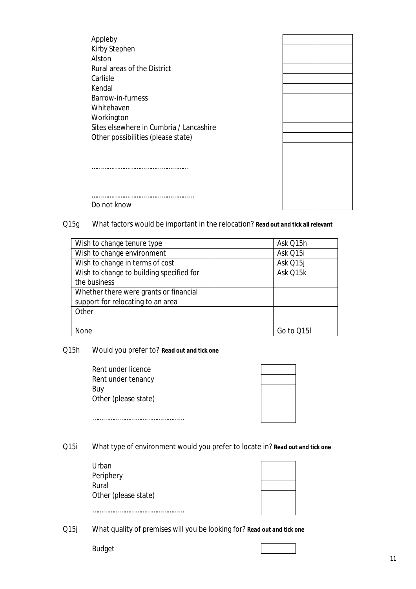Appleby Kirby Stephen Alston Rural areas of the District Carlisle Kendal Barrow-in-furness Whitehaven Workington Sites elsewhere in Cumbria / Lancashire Other possibilities (please state)



………………………………………………… Do not know

………………………………………………

Q15g What factors would be important in the relocation? *Read out and tick all relevant* 

| Wish to change tenure type               | Ask Q15h   |
|------------------------------------------|------------|
| Wish to change environment               | Ask Q15i   |
| Wish to change in terms of cost          | Ask Q15j   |
| Wish to change to building specified for | Ask Q15k   |
| the business                             |            |
| Whether there were grants or financial   |            |
| support for relocating to an area        |            |
| Other                                    |            |
|                                          |            |
| None                                     | Go to Q15I |

Q15h Would you prefer to? *Read out and tick one* 

| Rent under licence   |  |
|----------------------|--|
| Rent under tenancy   |  |
| Buy                  |  |
| Other (please state) |  |
|                      |  |
| .                    |  |

Q15i What type of environment would you prefer to locate in? *Read out and tick one* 

| Urban                |  |
|----------------------|--|
| Periphery            |  |
| Rural                |  |
| Other (please state) |  |
|                      |  |
|                      |  |

Q15j What quality of premises will you be looking for? *Read out and tick one* 

Budget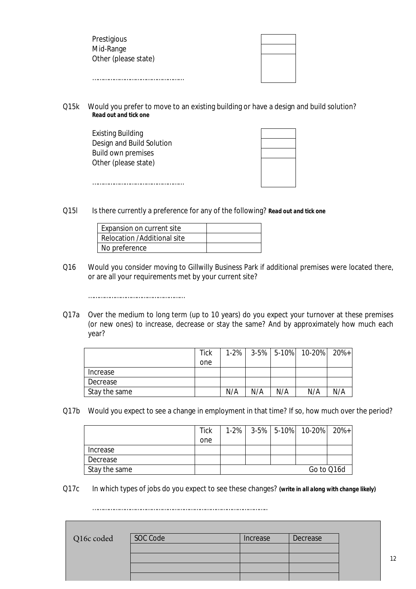| Prestigious          |  |
|----------------------|--|
| Mid-Range            |  |
| Other (please state) |  |
|                      |  |
|                      |  |
|                      |  |

Q15k Would you prefer to move to an existing building or have a design and build solution? *Read out and tick one* 

 Design and Build Solution Build own premises Existing Building Other (please state) ……………………………………………

 $Q15I$ Is there currently a preference for any of the following? *Read out and tick one* 

| Expansion on current site   |  |
|-----------------------------|--|
| Relocation /Additional site |  |
| No preference               |  |

………………………………………………

**The Contract of Street** 

- Q16 Would you consider moving to Gillwilly Business Park if additional premises were located there, or are all your requirements met by your current site?
- Q17a Over the medium to long term (up to 10 years) do you expect your turnover at these premises (or new ones) to increase, decrease or stay the same? And by approximately how much each year?

|               | <b>Tick</b> | $1 - 2%$ |     |     | $3-5\%$ 5-10% 10-20% 20%+ |     |
|---------------|-------------|----------|-----|-----|---------------------------|-----|
|               | one         |          |     |     |                           |     |
| Increase      |             |          |     |     |                           |     |
| Decrease      |             |          |     |     |                           |     |
| Stay the same |             | N/A      | N/A | N/A | N/A                       | N/A |

Q17b Would you expect to see a change in employment in that time? If so, how much over the period?

|               | <b>Tick</b> | $1-2%$ |  | $3-5\%$ 5-10% 10-20% 20%+ |  |
|---------------|-------------|--------|--|---------------------------|--|
|               | one         |        |  |                           |  |
| Increase      |             |        |  |                           |  |
| Decrease      |             |        |  |                           |  |
| Stay the same |             |        |  | Go to Q16d                |  |

Q17c In which types of jobs do you expect to see these changes? *(write in all along with change likely)* 

……………………………………………………………………………………..

| Q16c coded | SOC Code | Increase | Decrease |  |
|------------|----------|----------|----------|--|
|            |          |          |          |  |
|            |          |          |          |  |
|            |          |          |          |  |
|            |          |          |          |  |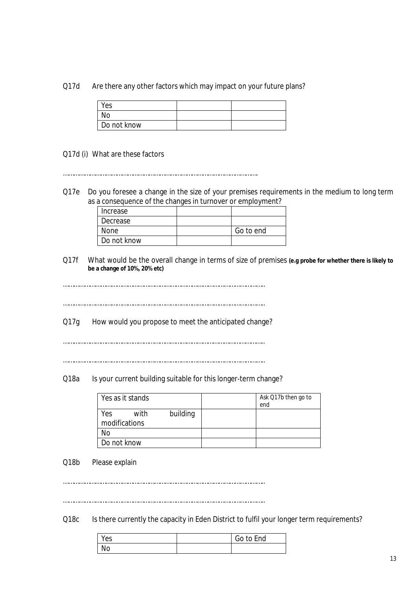#### Q17d Are there any other factors which may impact on your future plans?

| Yes         |  |
|-------------|--|
| No          |  |
| Do not know |  |

### Q17d (i) What are these factors

……………………………………………………………………………………………….

 Q17e Do you foresee a change in the size of your premises requirements in the medium to long term as a consequence of the changes in turnover or employment?

| Increase    |           |
|-------------|-----------|
| Decrease    |           |
| None        | Go to end |
| Do not know |           |

 $Q17f$ What would be the overall change in terms of size of premises (e.g probe for whether there is likely to **be a change of 10%, 20% etc)** 

…………………………………………………………………………………………………..

…………………………………………………………………………………………………..

 $Q17q$ How would you propose to meet the anticipated change?

…………………………………………………………………………………………………..

…………………………………………………………………………………………………..

### Q18a Is your current building suitable for this longer-term change?

| Yes as it stands             |          | Ask Q17b then go to |
|------------------------------|----------|---------------------|
|                              |          | end                 |
| with<br>Yes<br>modifications | building |                     |
| Nο                           |          |                     |
| Do not know                  |          |                     |

#### $Q18b$ Please explain

…………………………………………………………………………………………………..

…………………………………………………………………………………………………..

 $Q18c$ Is there currently the capacity in Eden District to fulfil your longer term requirements?

| Yes | Go to End |
|-----|-----------|
| No  |           |